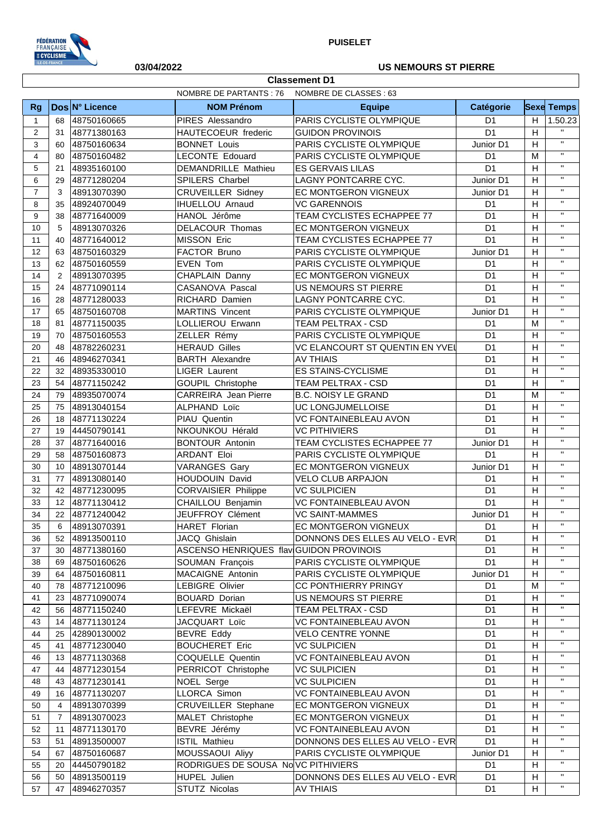

**Classement D1**

## **03/04/2022 US NEMOURS ST PIERRE**

|                | <b>NOMBRE DE PARTANTS: 76</b><br>NOMBRE DE CLASSES : 63 |                |                                         |                                               |                |                         |                         |
|----------------|---------------------------------------------------------|----------------|-----------------------------------------|-----------------------------------------------|----------------|-------------------------|-------------------------|
| <b>Rg</b>      |                                                         | Dos N° Licence | <b>NOM Prénom</b>                       | <b>Equipe</b>                                 | Catégorie      |                         | <b>Sexe Temps</b>       |
| $\mathbf{1}$   | 68                                                      | 48750160665    | PIRES Alessandro                        | PARIS CYCLISTE OLYMPIQUE                      | D <sub>1</sub> | H                       | 1.50.23                 |
| 2              | 31                                                      | 48771380163    | HAUTECOEUR frederic                     | <b>GUIDON PROVINOIS</b>                       | D <sub>1</sub> | H                       | $\mathbf{H}$            |
| 3              | 60                                                      | 48750160634    | <b>BONNET Louis</b>                     | PARIS CYCLISTE OLYMPIQUE                      | Junior D1      | H                       | $\mathbf{u}$            |
| $\overline{4}$ | 80                                                      | 48750160482    | <b>LECONTE Edouard</b>                  | PARIS CYCLISTE OLYMPIQUE                      | D <sub>1</sub> | M                       | $\overline{\mathbf{u}}$ |
| 5              | 21                                                      | 48935160100    | <b>DEMANDRILLE Mathieu</b>              | <b>ES GERVAIS LILAS</b>                       | D <sub>1</sub> | $\overline{\mathsf{H}}$ | $\mathbf{H}$            |
| 6              | 29                                                      | 48771280204    | SPILERS Charbel                         | LAGNY PONTCARRE CYC.                          | Junior D1      | $\mathsf{H}$            | $\mathbf{H}$            |
| $\overline{7}$ | 3                                                       | 48913070390    | <b>CRUVEILLER Sidney</b>                | EC MONTGERON VIGNEUX                          | Junior D1      | $\mathsf{H}$            | $\mathbf{H}$            |
| 8              | 35                                                      | 48924070049    | <b>IHUELLOU Arnaud</b>                  | <b>VC GARENNOIS</b>                           | D <sub>1</sub> | $\overline{\mathsf{H}}$ | $\mathbf{H}$            |
| 9              | 38                                                      | 48771640009    | HANOL Jérôme                            | TEAM CYCLISTES ECHAPPEE 77                    | D <sub>1</sub> | $\overline{\mathsf{H}}$ | $\mathbf{H}$            |
| 10             | 5                                                       | 48913070326    | DELACOUR Thomas                         | EC MONTGERON VIGNEUX                          | D <sub>1</sub> | $\overline{\mathsf{H}}$ | $\mathbf{H}$            |
| 11             | 40                                                      | 48771640012    | <b>MISSON Eric</b>                      | TEAM CYCLISTES ECHAPPEE 77                    | D <sub>1</sub> | H                       | $\mathbf{H}$            |
| 12             | 63                                                      | 48750160329    | FACTOR Bruno                            | PARIS CYCLISTE OLYMPIQUE                      | Junior D1      | $\overline{\mathsf{H}}$ | $\mathbf{H}$            |
| 13             | 62                                                      | 48750160559    | EVEN Tom                                | PARIS CYCLISTE OLYMPIQUE                      | D1             | $\overline{\mathsf{H}}$ | $\mathbf{H}$            |
| 14             | 2                                                       | 48913070395    | CHAPLAIN Danny                          | EC MONTGERON VIGNEUX                          | D <sub>1</sub> | $\overline{\mathsf{H}}$ | $\mathbf{H}$            |
| 15             | 24                                                      | 48771090114    | CASANOVA Pascal                         | US NEMOURS ST PIERRE                          | D <sub>1</sub> | H                       | $\overline{\mathbf{u}}$ |
| 16             | 28                                                      | 48771280033    | RICHARD Damien                          | LAGNY PONTCARRE CYC.                          | D <sub>1</sub> | $\overline{\mathsf{H}}$ | $\mathbf{H}$            |
| 17             | 65                                                      | 48750160708    | <b>MARTINS Vincent</b>                  | PARIS CYCLISTE OLYMPIQUE                      | Junior D1      | $\overline{\mathsf{H}}$ | $\mathbf{H}$            |
| 18             | 81                                                      | 48771150035    | LOLLIEROU Erwann                        | TEAM PELTRAX - CSD                            | D <sub>1</sub> | M                       | $\mathbf{H}$            |
| 19             | 70                                                      | 48750160553    | ZELLER Rémy                             | PARIS CYCLISTE OLYMPIQUE                      | D <sub>1</sub> | H                       | $\mathbf{H}$            |
| 20             | 48                                                      | 48782260231    | <b>HERAUD Gilles</b>                    | <b>VC ELANCOURT ST QUENTIN EN YVEL</b>        | D <sub>1</sub> | $\overline{\mathsf{H}}$ | $\mathbf{H}$            |
| 21             | 46                                                      | 48946270341    | <b>BARTH Alexandre</b>                  | <b>AV THIAIS</b>                              | D <sub>1</sub> | $\overline{\mathsf{H}}$ | $\mathbf{H}$            |
| 22             | 32                                                      | 48935330010    | <b>LIGER Laurent</b>                    | <b>ES STAINS-CYCLISME</b>                     | D <sub>1</sub> | $\overline{\mathsf{H}}$ | $\mathbf{H}$            |
| 23             | 54                                                      | 48771150242    | <b>GOUPIL Christophe</b>                | TEAM PELTRAX - CSD                            | D <sub>1</sub> | H                       | $\mathbf{H}$            |
| 24             | 79                                                      | 48935070074    | <b>CARREIRA</b> Jean Pierre             | <b>B.C. NOISY LE GRAND</b>                    | D <sub>1</sub> | M                       | $\mathbf{H}$            |
| 25             | 75                                                      | 48913040154    | ALPHAND Loïc                            | UC LONGJUMELLOISE                             | D <sub>1</sub> | $\overline{\mathsf{H}}$ | $\mathbf{H}$            |
| 26             | 18                                                      | 48771130224    | PIAU Quentin                            | <b>VC FONTAINEBLEAU AVON</b>                  | D <sub>1</sub> | H                       | $\mathbf{H}$            |
| 27             | 19                                                      | 44450790141    | NKOUNKOU Hérald                         | <b>VC PITHIVIERS</b>                          | D <sub>1</sub> | H                       | $\mathbf{H}$            |
| 28             | 37                                                      | 48771640016    | <b>BONTOUR Antonin</b>                  | TEAM CYCLISTES ECHAPPEE 77                    | Junior D1      | $\overline{\mathsf{H}}$ | $\mathbf{H}$            |
| 29             | 58                                                      | 48750160873    | ARDANT Eloi                             | PARIS CYCLISTE OLYMPIQUE                      | D <sub>1</sub> | $\overline{\mathsf{H}}$ | $\mathbf{H}$            |
| 30             | 10                                                      | 48913070144    | <b>VARANGES Gary</b>                    | EC MONTGERON VIGNEUX                          | Junior D1      | $\overline{\mathsf{H}}$ | $\mathbf{H}$            |
| 31             | 77                                                      | 48913080140    | HOUDOUIN David                          | <b>VELO CLUB ARPAJON</b>                      | D <sub>1</sub> | $\overline{\mathsf{H}}$ | $\mathbf{H}$            |
| 32             | 42                                                      | 48771230095    | <b>CORVAISIER Philippe</b>              | <b>VC SULPICIEN</b>                           | D <sub>1</sub> | $\overline{\mathsf{H}}$ | $\mathbf{H}$            |
| 33             | 12                                                      | 48771130412    | CHAILLOU Benjamin                       | <b>VC FONTAINEBLEAU AVON</b>                  | D <sub>1</sub> | $\overline{\mathsf{H}}$ | $\mathbf{H}$            |
| 34             | 22                                                      | 48771240042    | JEUFFROY Clément                        | <b>VC SAINT-MAMMES</b>                        | Junior D1      | H                       | $\mathbf{H}$            |
| 35             | 6                                                       | 48913070391    | HARET Florian                           | EC MONTGERON VIGNEUX                          | D <sub>1</sub> | H                       | $\mathbf{H}$            |
| 36             | 52                                                      | 48913500110    | JACQ Ghislain                           | DONNONS DES ELLES AU VELO - EVR               | D <sub>1</sub> | H                       | $\mathbf{H}$            |
| 37             | 30                                                      | 48771380160    | ASCENSO HENRIQUES flav GUIDON PROVINOIS |                                               | D <sub>1</sub> | H                       | $\mathbf{H}$            |
| 38             | 69                                                      | 48750160626    | SOUMAN François                         | PARIS CYCLISTE OLYMPIQUE                      | D <sub>1</sub> | H                       | $\mathbf{H}$            |
| 39             | 64                                                      | 48750160811    | MACAIGNE Antonin                        | PARIS CYCLISTE OLYMPIQUE                      | Junior D1      | Н                       | $\mathbf{H}$            |
| 40             | 78                                                      | 48771210096    | LEBIGRE Olivier                         | <b>CC PONTHIERRY PRINGY</b>                   | D <sub>1</sub> | M                       | $\mathbf{H}$            |
| 41             | 23                                                      | 48771090074    | <b>BOUARD Dorian</b>                    | US NEMOURS ST PIERRE                          | D <sub>1</sub> | $\mathsf{H}$            | $\mathbf{H}$            |
| 42             | 56                                                      | 48771150240    | LEFEVRE Mickaël                         | TEAM PELTRAX - CSD                            | D <sub>1</sub> | $\mathsf{H}$            | $\mathbf{H}$            |
| 43             | 14                                                      | 48771130124    | JACQUART Loïc                           | VC FONTAINEBLEAU AVON                         | D <sub>1</sub> | $\mathsf{H}$            | $\mathbf{H}$            |
| 44             | 25                                                      | 42890130002    | <b>BEVRE Eddy</b>                       | <b>VELO CENTRE YONNE</b>                      | D <sub>1</sub> | H                       | $\mathbf{H}$            |
| 45             | 41                                                      | 48771230040    | <b>BOUCHERET Eric</b>                   | <b>VC SULPICIEN</b>                           | D <sub>1</sub> | H                       | $\mathbf{H}$            |
| 46             | 13                                                      | 48771130368    | COQUELLE Quentin                        | VC FONTAINEBLEAU AVON                         | D <sub>1</sub> | $\mathsf{H}$            | $\mathbf{H}$            |
| 47             | 44                                                      | 48771230154    | PERRICOT Christophe                     | <b>VC SULPICIEN</b>                           | D <sub>1</sub> | H                       | $\mathbf{H}$            |
| 48             | 43                                                      | 48771230141    | NOEL Serge                              | <b>VC SULPICIEN</b>                           | D <sub>1</sub> | H                       | $\mathbf{H}$            |
| 49             |                                                         |                |                                         |                                               | D <sub>1</sub> | $\mathsf{H}$            | $\mathbf{H}$            |
| 50             | 16<br>4                                                 | 48771130207    | LLORCA Simon                            | VC FONTAINEBLEAU AVON<br>EC MONTGERON VIGNEUX | D <sub>1</sub> | $\mathsf{H}$            | $\mathbf{H}$            |
| 51             |                                                         | 48913070399    | <b>CRUVEILLER Stephane</b>              |                                               | D <sub>1</sub> | H                       | $\mathbf{H}$            |
|                | $\overline{7}$                                          | 48913070023    | MALET Christophe                        | EC MONTGERON VIGNEUX                          |                |                         | $\mathbf{H}$            |
| 52             | 11                                                      | 48771130170    | BEVRE Jérémy                            | VC FONTAINEBLEAU AVON                         | D <sub>1</sub> | H                       | $\mathbf{H}$            |
| 53             | 51                                                      | 48913500007    | <b>ISTIL Mathieu</b>                    | DONNONS DES ELLES AU VELO - EVR               | D <sub>1</sub> | H                       | $\mathbf{H}$            |
| 54             | 67                                                      | 48750160687    | MOUSSAOUI Aliyy                         | PARIS CYCLISTE OLYMPIQUE                      | Junior D1      | H                       | $\mathbf{H}$            |
| 55             | 20                                                      | 44450790182    | RODRIGUES DE SOUSA NoVC PITHIVIERS      |                                               | D <sub>1</sub> | H                       | $\mathbf{H}$            |
| 56             | 50                                                      | 48913500119    | <b>HUPEL Julien</b>                     | DONNONS DES ELLES AU VELO - EVR               | D <sub>1</sub> | $\mathsf{H}$            | $\mathbf{H}^{\pm}$      |
| 57             | 47                                                      | 48946270357    | STUTZ Nicolas                           | <b>AV THIAIS</b>                              | D <sub>1</sub> | H                       |                         |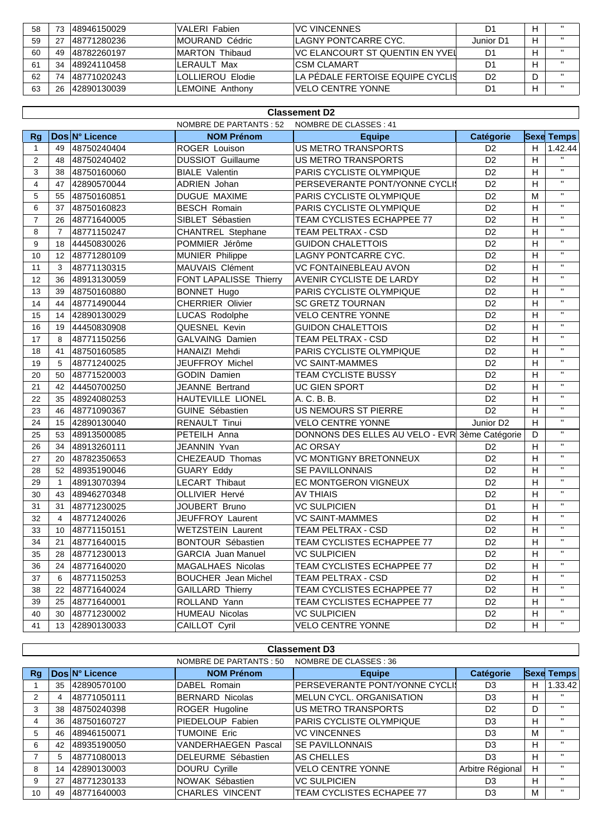| 58 | 73 | 48946150029  | VALERI Fabien     | IVC VINCENNES                     |           |   |              |
|----|----|--------------|-------------------|-----------------------------------|-----------|---|--------------|
| 59 | ົາ | 148771280236 | IMOURAND Cédric   | ILAGNY PONTCARRE CYC.             | Junior D1 | Н |              |
| 60 | 49 | 148782260197 | IMARTON Thibaud   | IVC ELANCOURT ST QUENTIN EN YVEII | D1        |   |              |
| 61 | 34 | 148924110458 | LERAULT Max       | ICSM CI AMART                     |           |   | $\mathbf{u}$ |
| 62 | 74 | 148771020243 | ILOLLIEROU Elodie | LA PÉDALE FERTOISE EQUIPE CYCLIS  | D2        |   |              |
| 63 | 26 | 142890130039 | LEMOINE Anthony   | IVELO CENTRE YONNE                |           |   | $\mathbf{u}$ |

|                |                |                |                            | <b>Classement D2</b>                           |                |                           |                   |
|----------------|----------------|----------------|----------------------------|------------------------------------------------|----------------|---------------------------|-------------------|
|                |                |                | NOMBRE DE PARTANTS : 52    | NOMBRE DE CLASSES: 41                          |                |                           |                   |
| <b>Rg</b>      |                | Dos N° Licence | <b>NOM Prénom</b>          | <b>Equipe</b>                                  | Catégorie      |                           | <b>Sexe Temps</b> |
| $\mathbf{1}$   | 49             | 48750240404    | <b>ROGER Louison</b>       | US METRO TRANSPORTS                            | D <sub>2</sub> | H                         | 1.42.44           |
| $\overline{2}$ | 48             | 48750240402    | <b>DUSSIOT Guillaume</b>   | US METRO TRANSPORTS                            | D <sub>2</sub> | H                         | $\mathbf{H}$      |
| 3              | 38             | 48750160060    | <b>BIALE Valentin</b>      | PARIS CYCLISTE OLYMPIQUE                       | D <sub>2</sub> | H                         | $\mathbf{H}$      |
| $\overline{4}$ | 47             | 42890570044    | ADRIEN Johan               | PERSEVERANTE PONT/YONNE CYCLI                  | D <sub>2</sub> | H                         | $\mathbf{H}$      |
| 5              | 55             | 48750160851    | DUGUE MAXIME               | PARIS CYCLISTE OLYMPIQUE                       | D <sub>2</sub> | M                         | $\mathbf{H}$      |
| 6              | 37             | 48750160823    | <b>BESCH Romain</b>        | PARIS CYCLISTE OLYMPIQUE                       | D <sub>2</sub> | H                         | $\mathbf{H}$      |
| $\overline{7}$ | 26             | 48771640005    | SIBLET Sébastien           | TEAM CYCLISTES ECHAPPEE 77                     | D <sub>2</sub> | H                         | $\mathbf{H}$      |
| 8              | $\overline{7}$ | 48771150247    | <b>CHANTREL Stephane</b>   | TEAM PELTRAX - CSD                             | D <sub>2</sub> | H                         | $\mathbf{H}$      |
| 9              | 18             | 44450830026    | POMMIER Jérôme             | <b>GUIDON CHALETTOIS</b>                       | D <sub>2</sub> | H                         | $\mathbf{H}$      |
| 10             | 12             | 48771280109    | <b>MUNIER Philippe</b>     | LAGNY PONTCARRE CYC.                           | D <sub>2</sub> | H                         | $\mathbf{H}$      |
| 11             | 3              | 48771130315    | MAUVAIS Clément            | <b>VC FONTAINEBLEAU AVON</b>                   | D <sub>2</sub> | H                         | $\mathbf{H}$      |
| 12             | 36             | 48913130059    | FONT LAPALISSE Thierry     | <b>AVENIR CYCLISTE DE LARDY</b>                | D <sub>2</sub> | H                         | $\mathbf{H}$      |
| 13             | 39             | 48750160880    | <b>BONNET Hugo</b>         | PARIS CYCLISTE OLYMPIQUE                       | D <sub>2</sub> | H                         | $\mathbf{H}$      |
| 14             | 44             | 48771490044    | <b>CHERRIER Olivier</b>    | <b>SC GRETZ TOURNAN</b>                        | D <sub>2</sub> | H                         | $\mathbf{H}$      |
| 15             | 14             | 42890130029    | LUCAS Rodolphe             | <b>VELO CENTRE YONNE</b>                       | D <sub>2</sub> | H                         | $\mathbf{H}$      |
| 16             | 19             | 44450830908    | QUESNEL Kevin              | <b>GUIDON CHALETTOIS</b>                       | D <sub>2</sub> | H                         | $\mathbf{H}$      |
| 17             | 8              | 48771150256    | <b>GALVAING Damien</b>     | <b>TEAM PELTRAX - CSD</b>                      | D <sub>2</sub> | H                         | $\mathbf{H}$      |
| 18             | 41             | 48750160585    | HANAIZI Mehdi              | PARIS CYCLISTE OLYMPIQUE                       | D <sub>2</sub> | H                         | $\mathbf{H}$      |
| 19             | 5              | 48771240025    | JEUFFROY Michel            | <b>VC SAINT-MAMMES</b>                         | D <sub>2</sub> | H                         | $\mathbf{H}$      |
| 20             | 50             | 48771520003    | <b>GODIN Damien</b>        | <b>TEAM CYCLISTE BUSSY</b>                     | D <sub>2</sub> | H                         | $\mathbf{H}$      |
| 21             | 42             | 44450700250    | <b>JEANNE Bertrand</b>     | <b>UC GIEN SPORT</b>                           | D <sub>2</sub> | H                         | $\mathbf{H}$      |
| 22             | 35             | 48924080253    | HAUTEVILLE LIONEL          | A. C. B. B.                                    | D <sub>2</sub> | H                         | $\mathbf{H}$      |
| 23             | 46             | 48771090367    | <b>GUINE Sébastien</b>     | <b>US NEMOURS ST PIERRE</b>                    | D <sub>2</sub> | H                         | $\mathbf{H}$      |
| 24             | 15             | 42890130040    | <b>RENAULT Tinui</b>       | <b>VELO CENTRE YONNE</b>                       | Junior D2      | H                         | $\mathbf{H}$      |
| 25             | 53             | 48913500085    | PETEILH Anna               | DONNONS DES ELLES AU VELO - EVR 3ème Catégorie |                | D                         | $\mathbf{H}$      |
| 26             | 34             | 48913260111    | JEANNIN Yvan               | <b>AC ORSAY</b>                                | D <sub>2</sub> | H                         | $\mathbf{H}$      |
| 27             | 20             | 48782350653    | CHEZEAUD Thomas            | <b>VC MONTIGNY BRETONNEUX</b>                  | D <sub>2</sub> | H                         | $\mathbf{H}$      |
| 28             | 52             | 48935190046    | <b>GUARY Eddy</b>          | SE PAVILLONNAIS                                | D <sub>2</sub> | H                         | $\mathbf{H}$      |
| 29             | $\mathbf{1}$   | 48913070394    | <b>LECART Thibaut</b>      | EC MONTGERON VIGNEUX                           | D <sub>2</sub> | H                         | $\mathbf{H}$      |
| 30             | 43             | 48946270348    | <b>OLLIVIER Hervé</b>      | <b>AV THIAIS</b>                               | D <sub>2</sub> | H                         | $\mathbf{H}$      |
| 31             | 31             | 48771230025    | JOUBERT Bruno              | <b>VC SULPICIEN</b>                            | D <sub>1</sub> | H                         | $\mathbf{H}$      |
| 32             | $\overline{4}$ | 48771240026    | JEUFFROY Laurent           | <b>VC SAINT-MAMMES</b>                         | D <sub>2</sub> | H                         | $\mathbf{H}$      |
| 33             | 10             | 48771150151    | <b>WETZSTEIN Laurent</b>   | <b>TEAM PELTRAX - CSD</b>                      | D <sub>2</sub> | H                         | $\mathbf{H}$      |
| 34             | 21             | 48771640015    | <b>BONTOUR Sébastien</b>   | TEAM CYCLISTES ECHAPPEE 77                     | D <sub>2</sub> | H                         | $\mathbf{H}$      |
| 35             |                | 28 48771230013 | GARCIA Juan Manuel         | <b>VC SULPICIEN</b>                            | D <sub>2</sub> | $\boldsymbol{\mathsf{H}}$ | $\mathbf{H}$      |
| 36             | 24             | 48771640020    | MAGALHAES Nicolas          | TEAM CYCLISTES ECHAPPEE 77                     | D <sub>2</sub> | Н                         | $\mathbf{H}$      |
| 37             | 6              | 48771150253    | <b>BOUCHER</b> Jean Michel | TEAM PELTRAX - CSD                             | D <sub>2</sub> | H                         | $\mathbf{H}$      |
| 38             | 22             | 48771640024    | <b>GAILLARD Thierry</b>    | TEAM CYCLISTES ECHAPPEE 77                     | D <sub>2</sub> | H                         | $\mathbf{H}$      |
| 39             |                | 25 48771640001 | ROLLAND Yann               | TEAM CYCLISTES ECHAPPEE 77                     | D <sub>2</sub> | H                         | $\mathbf{H}$      |
| 40             | 30             | 48771230002    | HUMEAU Nicolas             | <b>VC SULPICIEN</b>                            | D <sub>2</sub> | H                         | н.                |
| 41             |                | 13 42890130033 | CAILLOT Cyril              | <b>VELO CENTRE YONNE</b>                       | D <sub>2</sub> | H                         | $\mathbf{H}$      |
|                |                |                |                            |                                                |                |                           |                   |

|    | <b>Classement D3</b>                              |                |                            |                                  |                  |    |                   |  |  |
|----|---------------------------------------------------|----------------|----------------------------|----------------------------------|------------------|----|-------------------|--|--|
|    | NOMBRE DE CLASSES : 36<br>NOMBRE DE PARTANTS : 50 |                |                            |                                  |                  |    |                   |  |  |
| Rg |                                                   | Dos N° Licence | <b>NOM Prénom</b>          | <b>Equipe</b>                    | <b>Catégorie</b> |    | <b>Sexe Temps</b> |  |  |
|    | 35                                                | 42890570100    | DABEL Romain               | PERSEVERANTE PONT/YONNE CYCLI    | D <sub>3</sub>   | н  | 1.33.42           |  |  |
| 2  | 4                                                 | 48771050111    | BERNARD Nicolas            | <b>MELUN CYCL, ORGANISATION</b>  | D <sub>3</sub>   | H. | $\mathbf{H}$      |  |  |
| 3  | 38                                                | 48750240398    | ROGER Hugoline             | US METRO TRANSPORTS              | D <sub>2</sub>   | D  | $^{\prime\prime}$ |  |  |
| 4  | 36                                                | 48750160727    | PIEDELOUP Fabien           | <b>PARIS CYCLISTE OLYMPIQUE</b>  | D <sub>3</sub>   | H  | $^{\prime\prime}$ |  |  |
| 5  | 46                                                | 48946150071    | <b>TUMOINE Eric</b>        | <b>VC VINCENNES</b>              | D <sub>3</sub>   | М  | $\mathbf{H}$      |  |  |
| 6  | 42                                                | 48935190050    | <b>VANDERHAEGEN Pascal</b> | <b>SE PAVILLONNAIS</b>           | D <sub>3</sub>   | H. | $\mathbf{H}$      |  |  |
|    | 5                                                 | 48771080013    | <b>IDELEURME Sébastien</b> | AS CHELLES                       | D <sub>3</sub>   | н  | $\mathbf{H}$      |  |  |
| 8  | 14                                                | 42890130003    | DOURU Cyrille              | <b>VELO CENTRE YONNE</b>         | Arbitre Régional | H. | $\mathbf{H}$      |  |  |
| 9  | 27                                                | 48771230133    | NOWAK Sébastien            | <b>VC SULPICIEN</b>              | D <sub>3</sub>   | н  | $\mathbf{H}$      |  |  |
| 10 | 49                                                | 148771640003   | <b>ICHARLES VINCENT</b>    | <b>TEAM CYCLISTES ECHAPEE 77</b> | D <sub>3</sub>   | M  | $\mathbf{H}$      |  |  |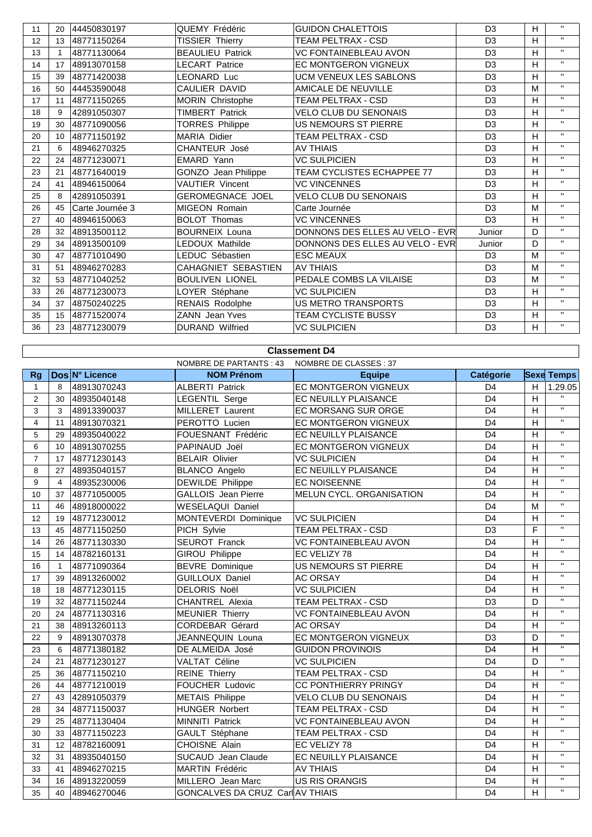| 11 | 20 | 44450830197     | <b>QUEMY Frédéric</b>   | <b>GUIDON CHALETTOIS</b>        | D <sub>3</sub> | H  | $\mathbf{H}$ |
|----|----|-----------------|-------------------------|---------------------------------|----------------|----|--------------|
| 12 | 13 | 48771150264     | TISSIER Thierry         | <b>TEAM PELTRAX - CSD</b>       | D <sub>3</sub> | H. | $\mathbf{H}$ |
| 13 |    | 48771130064     | <b>BEAULIEU Patrick</b> | <b>VC FONTAINEBLEAU AVON</b>    | D <sub>3</sub> | H. | $\mathbf{H}$ |
| 14 | 17 | 48913070158     | <b>LECART Patrice</b>   | <b>EC MONTGERON VIGNEUX</b>     | D <sub>3</sub> | H. | $\mathbf{H}$ |
| 15 | 39 | 48771420038     | LEONARD Luc             | <b>UCM VENEUX LES SABLONS</b>   | D <sub>3</sub> | H. | $\mathbf{H}$ |
| 16 | 50 | 44453590048     | CAULIER DAVID           | AMICALE DE NEUVILLE             | D <sub>3</sub> | M  | $\mathbf{H}$ |
| 17 | 11 | 48771150265     | <b>MORIN Christophe</b> | TEAM PELTRAX - CSD              | D <sub>3</sub> | H  | $\mathbf{H}$ |
| 18 | 9  | 42891050307     | <b>TIMBERT Patrick</b>  | <b>VELO CLUB DU SENONAIS</b>    | D <sub>3</sub> | H. | $\mathbf{H}$ |
| 19 | 30 | 48771090056     | <b>TORRES Philippe</b>  | <b>US NEMOURS ST PIERRE</b>     | D <sub>3</sub> | H. | $\mathbf{H}$ |
| 20 | 10 | 48771150192     | <b>MARIA Didier</b>     | TEAM PELTRAX - CSD              | D <sub>3</sub> | H. | $\mathbf{H}$ |
| 21 | 6  | 48946270325     | <b>CHANTEUR José</b>    | <b>AV THIAIS</b>                | D <sub>3</sub> | H  | $\mathbf{H}$ |
| 22 | 24 | 48771230071     | EMARD Yann              | <b>VC SULPICIEN</b>             | D <sub>3</sub> | H. | $\mathbf{H}$ |
| 23 | 21 | 48771640019     | GONZO Jean Philippe     | TEAM CYCLISTES ECHAPPEE 77      | D <sub>3</sub> | H. | $\mathbf{H}$ |
| 24 | 41 | 48946150064     | <b>VAUTIER Vincent</b>  | <b>VC VINCENNES</b>             | D <sub>3</sub> | H  | $\mathbf{H}$ |
| 25 | 8  | 42891050391     | <b>GEROMEGNACE JOEL</b> | <b>VELO CLUB DU SENONAIS</b>    | D <sub>3</sub> | H  | $\mathbf{H}$ |
| 26 | 45 | Carte Journée 3 | MIGEON Romain           | Carte Journée                   | D <sub>3</sub> | M  | $\mathbf{H}$ |
| 27 | 40 | 48946150063     | <b>BOLOT Thomas</b>     | <b>VC VINCENNES</b>             | D <sub>3</sub> | H. | $\mathbf{H}$ |
| 28 | 32 | 48913500112     | <b>BOURNEIX Louna</b>   | DONNONS DES ELLES AU VELO - EVR | Junior         | D  | $\mathbf{H}$ |
| 29 | 34 | 48913500109     | LEDOUX Mathilde         | DONNONS DES ELLES AU VELO - EVR | Junior         | D  | $\mathbf{H}$ |
| 30 | 47 | 48771010490     | LEDUC Sébastien         | <b>ESC MEAUX</b>                | D <sub>3</sub> | M  | $\mathbf{H}$ |
| 31 | 51 | 48946270283     | CAHAGNIET SEBASTIEN     | <b>AV THIAIS</b>                | D <sub>3</sub> | M  | $\mathbf{H}$ |
| 32 | 53 | 48771040252     | <b>BOULIVEN LIONEL</b>  | PEDALE COMBS LA VILAISE         | D <sub>3</sub> | M  | $\mathbf{H}$ |
| 33 | 26 | 48771230073     | LOYER Stéphane          | <b>VC SULPICIEN</b>             | D <sub>3</sub> | H. | $\mathbf{H}$ |
| 34 | 37 | 48750240225     | RENAIS Rodolphe         | <b>US METRO TRANSPORTS</b>      | D <sub>3</sub> | H. | $\mathbf{H}$ |
| 35 | 15 | 48771520074     | <b>ZANN</b> Jean Yves   | <b>TEAM CYCLISTE BUSSY</b>      | D <sub>3</sub> | H. | $\mathbf{H}$ |
| 36 | 23 | 48771230079     | <b>DURAND Wilfried</b>  | <b>VC SULPICIEN</b>             | D <sub>3</sub> | H. | $\mathbf{H}$ |

## **Classement D4**

 $\overline{\phantom{a}}$ 

|                |                 |                | NOMBRE DE PARTANTS : 43          | NOMBRE DE CLASSES : 37       |                |                |                   |
|----------------|-----------------|----------------|----------------------------------|------------------------------|----------------|----------------|-------------------|
| Rq             |                 | Dos N° Licence | <b>NOM Prénom</b>                | <b>Equipe</b>                | Catégorie      |                | <b>Sexe Temps</b> |
| $\mathbf{1}$   | 8               | 48913070243    | <b>ALBERTI Patrick</b>           | EC MONTGERON VIGNEUX         | D <sub>4</sub> | H              | 1.29.05           |
| $\overline{2}$ | 30              | 48935040148    | <b>LEGENTIL Serge</b>            | EC NEUILLY PLAISANCE         | D <sub>4</sub> | H              | $\mathbf{H}$      |
| 3              | 3               | 48913390037    | MILLERET Laurent                 | EC MORSANG SUR ORGE          | D <sub>4</sub> | H              | $\mathbf{H}$      |
| $\overline{4}$ | 11              | 48913070321    | PEROTTO Lucien                   | <b>EC MONTGERON VIGNEUX</b>  | D <sub>4</sub> | H              | $\mathbf{H}$      |
| 5              | 29              | 48935040022    | FOUESNANT Frédéric               | EC NEUILLY PLAISANCE         | D <sub>4</sub> | H              | $\mathbf{H}$      |
| 6              | 10 <sup>°</sup> | 48913070255    | PAPINAUD Joël                    | EC MONTGERON VIGNEUX         | D <sub>4</sub> | H              | $\mathbf{H}$      |
| $\overline{7}$ | 17              | 48771230143    | <b>BELAIR Olivier</b>            | <b>VC SULPICIEN</b>          | D <sub>4</sub> | H              | $\mathbf{H}$      |
| 8              | 27              | 48935040157    | <b>BLANCO Angelo</b>             | EC NEUILLY PLAISANCE         | D <sub>4</sub> | H              | $\mathbf{H}$      |
| 9              | $\overline{4}$  | 48935230006    | DEWILDE Philippe                 | <b>EC NOISEENNE</b>          | D <sub>4</sub> | H              | $\mathbf{H}$      |
| 10             | 37              | 48771050005    | <b>GALLOIS</b> Jean Pierre       | MELUN CYCL. ORGANISATION     | D <sub>4</sub> | H              | $\mathbf{H}$      |
| 11             | 46              | 48918000022    | <b>WESELAQUI Daniel</b>          |                              | D <sub>4</sub> | M              | $\mathbf{H}$      |
| 12             | 19              | 48771230012    | MONTEVERDI Dominique             | <b>VC SULPICIEN</b>          | D <sub>4</sub> | H              | $\mathbf{H}$      |
| 13             | 45              | 48771150250    | PICH Sylvie                      | <b>TEAM PELTRAX - CSD</b>    | D <sub>3</sub> | F              | $\mathbf{H}$      |
| 14             | 26              | 48771130330    | SEUROT Franck                    | VC FONTAINEBLEAU AVON        | D <sub>4</sub> | H              | $\mathbf{H}$      |
| 15             | 14              | 48782160131    | <b>GIROU Philippe</b>            | EC VELIZY 78                 | D <sub>4</sub> | H              | $\mathbf{H}$      |
| 16             | $\mathbf{1}$    | 48771090364    | <b>BEVRE</b> Dominique           | <b>US NEMOURS ST PIERRE</b>  | D <sub>4</sub> | $\overline{H}$ | $\mathbf{H}$      |
| 17             | 39              | 48913260002    | <b>GUILLOUX Daniel</b>           | <b>AC ORSAY</b>              | D <sub>4</sub> | H              | $\mathbf{H}$      |
| 18             | 18              | 48771230115    | <b>DELORIS Noël</b>              | <b>VC SULPICIEN</b>          | D <sub>4</sub> | H              | $\mathbf{H}$      |
| 19             | 32              | 48771150244    | <b>CHANTREL Alexia</b>           | <b>TEAM PELTRAX - CSD</b>    | D <sub>3</sub> | D              | $\mathbf{H}$      |
| 20             | 24              | 48771130316    | <b>MEUNIER Thierry</b>           | VC FONTAINEBLEAU AVON        | D <sub>4</sub> | H              | $\mathbf{H}$      |
| 21             | 38              | 48913260113    | CORDEBAR Gérard                  | <b>AC ORSAY</b>              | D <sub>4</sub> | H              | $\mathbf{H}$      |
| 22             | 9               | 48913070378    | JEANNEQUIN Louna                 | EC MONTGERON VIGNEUX         | D <sub>3</sub> | D              | $\mathbf{H}$      |
| 23             | 6               | 48771380182    | DE ALMEIDA José                  | <b>GUIDON PROVINOIS</b>      | D <sub>4</sub> | H              | $\mathbf{H}$      |
| 24             | 21              | 48771230127    | VALTAT Céline                    | <b>VC SULPICIEN</b>          | D <sub>4</sub> | D              | $\mathbf{H}$      |
| 25             | 36              | 48771150210    | <b>REINE Thierry</b>             | TEAM PELTRAX - CSD           | D <sub>4</sub> | H              | $\mathbf{H}$      |
| 26             | 44              | 48771210019    | FOUCHER Ludovic                  | CC PONTHIERRY PRINGY         | D <sub>4</sub> | H              | $\mathbf{H}$      |
| 27             | 43              | 42891050379    | <b>METAIS Philippe</b>           | <b>VELO CLUB DU SENONAIS</b> | D <sub>4</sub> | Н              | $\mathbf{H}$      |
| 28             | 34              | 48771150037    | <b>HUNGER Norbert</b>            | <b>TEAM PELTRAX - CSD</b>    | D <sub>4</sub> | H              | $\mathbf{H}$      |
| 29             | 25              | 48771130404    | MINNITI Patrick                  | VC FONTAINEBLEAU AVON        | D <sub>4</sub> | H              | $\mathbf{H}$      |
| 30             | 33              | 48771150223    | GAULT Stéphane                   | TEAM PELTRAX - CSD           | D <sub>4</sub> | H              | $\mathbf{H}$      |
| 31             | 12              | 48782160091    | CHOISNE Alain                    | EC VELIZY 78                 | D <sub>4</sub> | Н              | $\mathbf{H}$      |
| 32             | 31              | 48935040150    | SUCAUD Jean Claude               | <b>EC NEUILLY PLAISANCE</b>  | D <sub>4</sub> | H              | $\mathbf{H}$      |
| 33             | 41              | 48946270215    | MARTIN Frédéric                  | <b>AV THIAIS</b>             | D <sub>4</sub> | H              | $\mathbf{H}$      |
| 34             | 16              | 48913220059    | MILLERO Jean Marc                | US RIS ORANGIS               | D <sub>4</sub> | Н              | $\mathbf{H}$      |
| 35             | 40              | 48946270046    | GONCALVES DA CRUZ Carl AV THIAIS |                              | D <sub>4</sub> | H              | $\mathbf{H}$      |